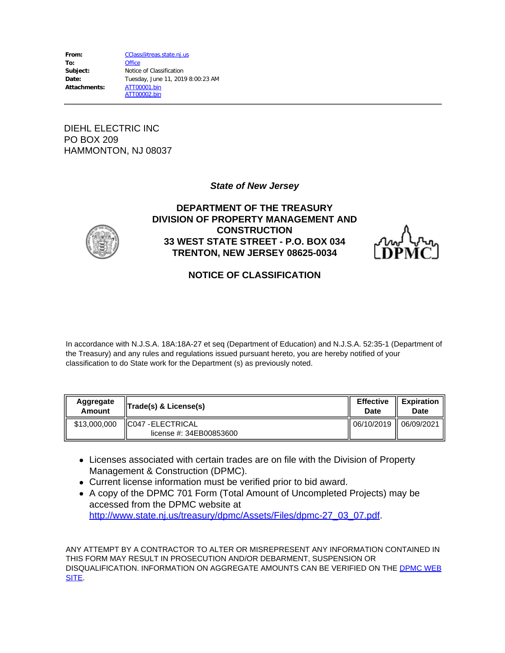| From:        | CClass@treas.state.nj.us          |
|--------------|-----------------------------------|
| To:          | <b>Office</b>                     |
| Subject:     | Notice of Classification          |
| Date:        | Tuesday, June 11, 2019 8:00:23 AM |
| Attachments: | ATT00001.bin                      |
|              | ATT00002.bin                      |

DIEHL ELECTRIC INC PO BOX 209 HAMMONTON, NJ 08037

#### *State of New Jersey*



### **DEPARTMENT OF THE TREASURY DIVISION OF PROPERTY MANAGEMENT AND CONSTRUCTION 33 WEST STATE STREET - P.O. BOX 034 TRENTON, NEW JERSEY 08625-0034**



### **NOTICE OF CLASSIFICATION**

In accordance with N.J.S.A. 18A:18A-27 et seq (Department of Education) and N.J.S.A. 52:35-1 (Department of the Treasury) and any rules and regulations issued pursuant hereto, you are hereby notified of your classification to do State work for the Department (s) as previously noted.

| Aggregate    | $\ $ Trade(s) & License(s)                          | <b>Effective</b> | <b>Expiration</b> |
|--------------|-----------------------------------------------------|------------------|-------------------|
| Amount       |                                                     | Date             | Date              |
| \$13,000,000 | <b>CO47 - ELECTRICAL</b><br>license #: 34EB00853600 | 06/10/2019       | 06/09/2021        |

- Licenses associated with certain trades are on file with the Division of Property Management & Construction (DPMC).
- Current license information must be verified prior to bid award.
- A copy of the DPMC 701 Form (Total Amount of Uncompleted Projects) may be accessed from the DPMC website at [http://www.state.nj.us/treasury/dpmc/Assets/Files/dpmc-27\\_03\\_07.pdf](http://www.state.nj.us/treasury/dpmc/Assets/Files/dpmc-27_03_07.pdf).

ANY ATTEMPT BY A CONTRACTOR TO ALTER OR MISREPRESENT ANY INFORMATION CONTAINED IN THIS FORM MAY RESULT IN PROSECUTION AND/OR DEBARMENT, SUSPENSION OR DISQUALIFICATION. INFORMATION ON AGGREGATE AMOUNTS CAN BE VERIFIED ON THE [DPMC WEB](http://www.state.nj.us/treasury/dpmc/contract_search.shtml) [SITE](http://www.state.nj.us/treasury/dpmc/contract_search.shtml).